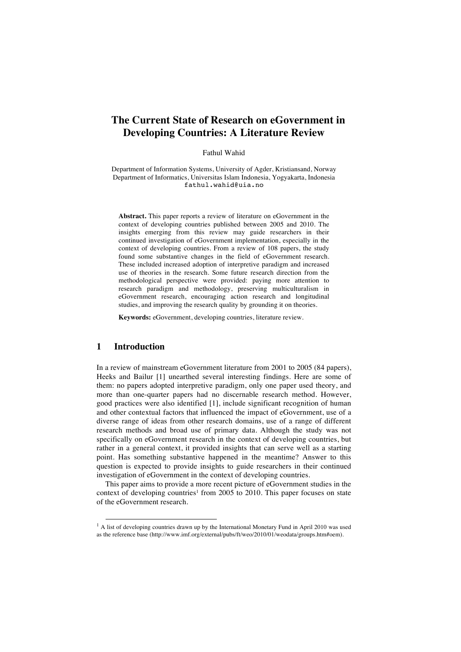# **The Current State of Research on eGovernment in Developing Countries: A Literature Review**

Fathul Wahid

Department of Information Systems, University of Agder, Kristiansand, Norway Department of Informatics, Universitas Islam Indonesia, Yogyakarta, Indonesia fathul.wahid@uia.no

**Abstract.** This paper reports a review of literature on eGovernment in the context of developing countries published between 2005 and 2010. The insights emerging from this review may guide researchers in their continued investigation of eGovernment implementation, especially in the context of developing countries. From a review of 108 papers, the study found some substantive changes in the field of eGovernment research. These included increased adoption of interpretive paradigm and increased use of theories in the research. Some future research direction from the methodological perspective were provided: paying more attention to research paradigm and methodology, preserving multiculturalism in eGovernment research, encouraging action research and longitudinal studies, and improving the research quality by grounding it on theories.

**Keywords:** eGovernment, developing countries, literature review.

# **1 Introduction**

In a review of mainstream eGovernment literature from 2001 to 2005 (84 papers), Heeks and Bailur [1] unearthed several interesting findings. Here are some of them: no papers adopted interpretive paradigm, only one paper used theory, and more than one-quarter papers had no discernable research method. However, good practices were also identified [1], include significant recognition of human and other contextual factors that influenced the impact of eGovernment, use of a diverse range of ideas from other research domains, use of a range of different research methods and broad use of primary data. Although the study was not specifically on eGovernment research in the context of developing countries, but rather in a general context, it provided insights that can serve well as a starting point. Has something substantive happened in the meantime? Answer to this question is expected to provide insights to guide researchers in their continued investigation of eGovernment in the context of developing countries.

This paper aims to provide a more recent picture of eGovernment studies in the context of developing countries<sup>1</sup> from 2005 to 2010. This paper focuses on state of the eGovernment research.

 $1$  A list of developing countries drawn up by the International Monetary Fund in April 2010 was used as the reference base (http://www.imf.org/external/pubs/ft/weo/2010/01/weodata/groups.htm#oem).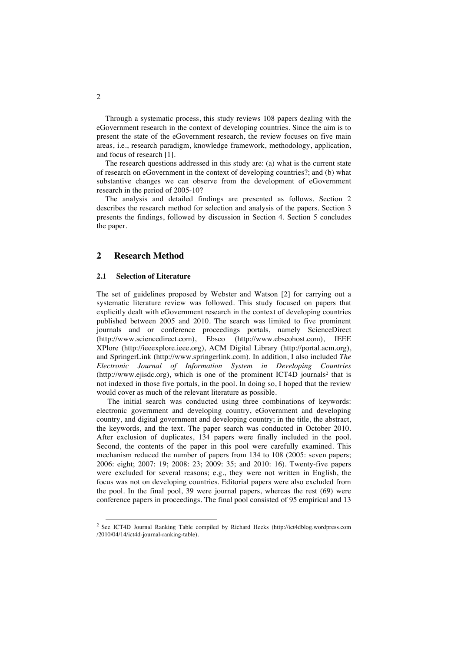Through a systematic process, this study reviews 108 papers dealing with the eGovernment research in the context of developing countries. Since the aim is to present the state of the eGovernment research, the review focuses on five main areas, i.e., research paradigm, knowledge framework, methodology, application, and focus of research [1].

The research questions addressed in this study are: (a) what is the current state of research on eGovernment in the context of developing countries?; and (b) what substantive changes we can observe from the development of eGovernment research in the period of 2005-10?

The analysis and detailed findings are presented as follows. Section 2 describes the research method for selection and analysis of the papers. Section 3 presents the findings, followed by discussion in Section 4. Section 5 concludes the paper.

# **2 Research Method**

### **2.1 Selection of Literature**

The set of guidelines proposed by Webster and Watson [2] for carrying out a systematic literature review was followed. This study focused on papers that explicitly dealt with eGovernment research in the context of developing countries published between 2005 and 2010. The search was limited to five prominent journals and or conference proceedings portals, namely ScienceDirect (http://www.sciencedirect.com), Ebsco (http://www.ebscohost.com), IEEE XPlore (http://ieeexplore.ieee.org), ACM Digital Library (http://portal.acm.org), and SpringerLink (http://www.springerlink.com). In addition, I also included *The Electronic Journal of Information System in Developing Countries*   $(\text{http://www.ejisdc.org})$ , which is one of the prominent ICT4D journals<sup>2</sup> that is not indexed in those five portals, in the pool. In doing so, I hoped that the review would cover as much of the relevant literature as possible.

The initial search was conducted using three combinations of keywords: electronic government and developing country, eGovernment and developing country, and digital government and developing country; in the title, the abstract, the keywords, and the text. The paper search was conducted in October 2010. After exclusion of duplicates, 134 papers were finally included in the pool. Second, the contents of the paper in this pool were carefully examined. This mechanism reduced the number of papers from 134 to 108 (2005: seven papers; 2006: eight; 2007: 19; 2008: 23; 2009: 35; and 2010: 16). Twenty-five papers were excluded for several reasons; e.g., they were not written in English, the focus was not on developing countries. Editorial papers were also excluded from the pool. In the final pool, 39 were journal papers, whereas the rest (69) were conference papers in proceedings. The final pool consisted of 95 empirical and 13

 <sup>2</sup> See ICT4D Journal Ranking Table compiled by Richard Heeks (http://ict4dblog.wordpress.com /2010/04/14/ict4d-journal-ranking-table).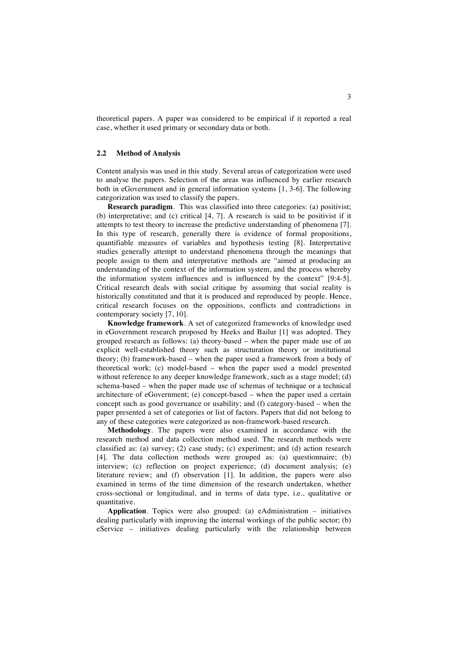theoretical papers. A paper was considered to be empirical if it reported a real case, whether it used primary or secondary data or both.

#### **2.2 Method of Analysis**

Content analysis was used in this study. Several areas of categorization were used to analyse the papers. Selection of the areas was influenced by earlier research both in eGovernment and in general information systems [1, 3-6]. The following categorization was used to classify the papers.

**Research paradigm**. This was classified into three categories: (a) positivist; (b) interpretative; and (c) critical [4, 7]. A research is said to be positivist if it attempts to test theory to increase the predictive understanding of phenomena [7]. In this type of research, generally there is evidence of formal propositions, quantifiable measures of variables and hypothesis testing [8]. Interpretative studies generally attempt to understand phenomena through the meanings that people assign to them and interpretative methods are "aimed at producing an understanding of the context of the information system, and the process whereby the information system influences and is influenced by the context" [9:4-5]. Critical research deals with social critique by assuming that social reality is historically constituted and that it is produced and reproduced by people. Hence, critical research focuses on the oppositions, conflicts and contradictions in contemporary society [7, 10].

**Knowledge framework**. A set of categorized frameworks of knowledge used in eGovernment research proposed by Heeks and Bailur [1] was adopted. They grouped research as follows: (a) theory-based – when the paper made use of an explicit well-established theory such as structuration theory or institutional theory; (b) framework-based – when the paper used a framework from a body of theoretical work; (c) model-based – when the paper used a model presented without reference to any deeper knowledge framework, such as a stage model; (d) schema-based – when the paper made use of schemas of technique or a technical architecture of eGovernment; (e) concept-based – when the paper used a certain concept such as good governance or usability; and (f) category-based – when the paper presented a set of categories or list of factors. Papers that did not belong to any of these categories were categorized as non-framework-based research.

**Methodology**. The papers were also examined in accordance with the research method and data collection method used. The research methods were classified as: (a) survey; (2) case study; (c) experiment; and (d) action research [4]. The data collection methods were grouped as: (a) questionnaire; (b) interview; (c) reflection on project experience; (d) document analysis; (e) literature review; and (f) observation [1]. In addition, the papers were also examined in terms of the time dimension of the research undertaken, whether cross-sectional or longitudinal, and in terms of data type, i.e., qualitative or quantitative.

**Application**. Topics were also grouped: (a) eAdministration – initiatives dealing particularly with improving the internal workings of the public sector; (b) eService – initiatives dealing particularly with the relationship between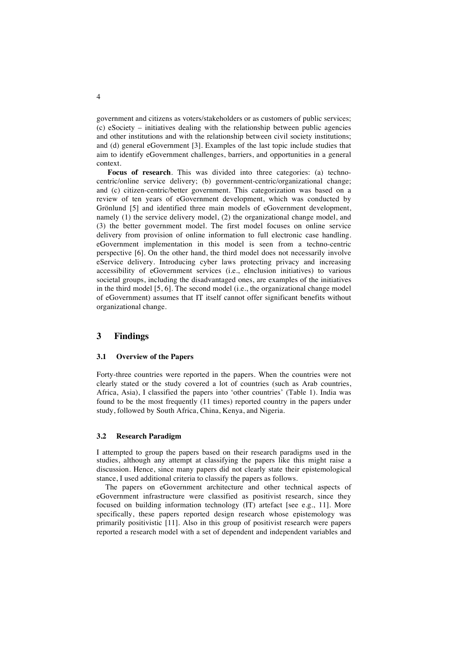government and citizens as voters/stakeholders or as customers of public services; (c) eSociety – initiatives dealing with the relationship between public agencies and other institutions and with the relationship between civil society institutions; and (d) general eGovernment [3]. Examples of the last topic include studies that aim to identify eGovernment challenges, barriers, and opportunities in a general context.

**Focus of research**. This was divided into three categories: (a) technocentric/online service delivery; (b) government-centric/organizational change; and (c) citizen-centric/better government. This categorization was based on a review of ten years of eGovernment development, which was conducted by Grönlund [5] and identified three main models of eGovernment development, namely (1) the service delivery model, (2) the organizational change model, and (3) the better government model. The first model focuses on online service delivery from provision of online information to full electronic case handling. eGovernment implementation in this model is seen from a techno-centric perspective [6]. On the other hand, the third model does not necessarily involve eService delivery. Introducing cyber laws protecting privacy and increasing accessibility of eGovernment services (i.e., eInclusion initiatives) to various societal groups, including the disadvantaged ones, are examples of the initiatives in the third model [5, 6]. The second model (i.e., the organizational change model of eGovernment) assumes that IT itself cannot offer significant benefits without organizational change.

## **3 Findings**

#### **3.1 Overview of the Papers**

Forty-three countries were reported in the papers. When the countries were not clearly stated or the study covered a lot of countries (such as Arab countries, Africa, Asia), I classified the papers into 'other countries' (Table 1). India was found to be the most frequently (11 times) reported country in the papers under study, followed by South Africa, China, Kenya, and Nigeria.

#### **3.2 Research Paradigm**

I attempted to group the papers based on their research paradigms used in the studies, although any attempt at classifying the papers like this might raise a discussion. Hence, since many papers did not clearly state their epistemological stance, I used additional criteria to classify the papers as follows.

The papers on eGovernment architecture and other technical aspects of eGovernment infrastructure were classified as positivist research, since they focused on building information technology (IT) artefact [see e.g., 11]. More specifically, these papers reported design research whose epistemology was primarily positivistic [11]. Also in this group of positivist research were papers reported a research model with a set of dependent and independent variables and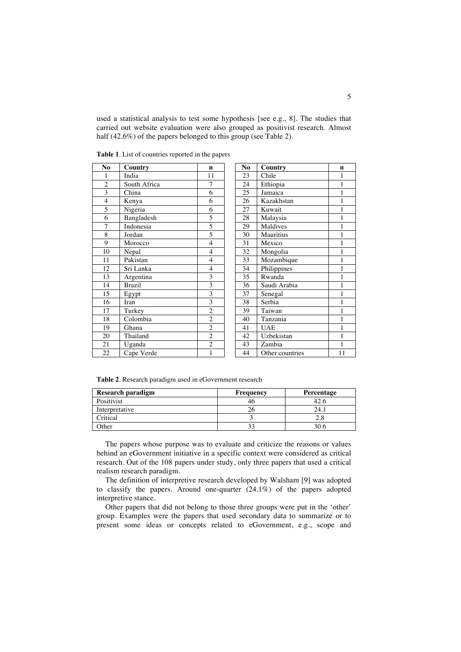used a statistical analysis to test some hypothesis [see e.g., 8]. The studies that carried out website evaluation were also grouped as positivist research. Almost half (42.6%) of the papers belonged to this group (see Table 2).

| No                      | Country       | $\mathbf n$    | N <sub>0</sub> | Country         | n              |
|-------------------------|---------------|----------------|----------------|-----------------|----------------|
|                         | India         | 11             | 23             | Chile           | $\mathbf{1}$   |
| $\overline{2}$          | South Africa  | 7              | 24             | Ethiopia        | $\mathbf{1}$   |
| 3                       | China         | 6              | 25             | Jamaica         | $\mathbf{1}$   |
| $\overline{\mathbf{4}}$ | Kenya         | 6              | 26             | Kazakhstan      | $\mathbf{1}$   |
| 5                       | Nigeria       | 6              | 27             | Kuwait          | $\overline{1}$ |
| 6                       | Bangladesh    | 5              | 28             | Malaysia        | $\mathbf{1}$   |
| 7                       | Indonesia     | 5              | 29             | Maldives        | 1              |
| 8                       | Jordan        | 5              | 30             | Mauritius       | $\mathbf 1$    |
| $\mathbf Q$             | Morocco       | $\overline{4}$ | 31             | Mexico          | $\mathbf{1}$   |
| 10                      | Nepal         | $\overline{4}$ | 32             | Mongolia        | $\overline{1}$ |
| 11                      | Pakistan      | $\overline{4}$ | 33             | Mozambique      | $\overline{1}$ |
| 12                      | Sri Lanka     | 4              | 34             | Philippines     | 1              |
| 13                      | Argentina     | 3              | 35             | Rwanda          | $\mathbf{1}$   |
| 14                      | <b>Brazil</b> | 3              | 36             | Saudi Arabia    | $\,1$          |
| 15                      | Egypt         | 3              | 37             | Senegal         | $\,1$          |
| 16                      | Iran          | 3              | 38             | Serbia          | $\mathbf{1}$   |
| 17                      | Turkey        | $\overline{2}$ | 39             | Taiwan          | $\mathbf{1}$   |
| 18                      | Colombia      | $\overline{c}$ | 40             | Tanzania        | $\mathbf{1}$   |
| 19                      | Ghana         | $\overline{c}$ | 41             | <b>UAE</b>      | $\mathbf{1}$   |
| 20                      | Thailand      | $\overline{2}$ | 42             | Uzbekistan      | $\,1$          |
| 21                      | Uganda        | $\overline{2}$ | 43             | Zambia          | $\overline{1}$ |
| 22                      | Cape Verde    | 1              | 44             | Other countries | 11             |

**Table 1**. List of countries reported in the papers

| No | Country         | n            |
|----|-----------------|--------------|
| 23 | Chile           | 1            |
| 24 | Ethiopia        | 1            |
| 25 | Jamaica         | 1            |
| 26 | Kazakhstan      | 1            |
| 27 | Kuwait          | 1            |
| 28 | Malaysia        | 1            |
| 29 | Maldives        | 1            |
| 30 | Mauritius       | 1            |
| 31 | Mexico          | 1            |
| 32 | Mongolia        | 1            |
| 33 | Mozambique      | $\mathbf{1}$ |
| 34 | Philippines     | 1            |
| 35 | Rwanda          | 1            |
| 36 | Saudi Arabia    | 1            |
| 37 | Senegal         | 1            |
| 38 | Serbia          | 1            |
| 39 | Taiwan          | 1            |
| 40 | Tanzania        | 1            |
| 41 | <b>UAE</b>      | 1            |
| 42 | Uzbekistan      | $\mathbf{1}$ |
| 43 | Zambia          | 1            |
| 44 | Other countries | 11           |
|    |                 |              |

**Table 2**. Research paradigm used in eGovernment research

| <b>Research paradigm</b> | Frequency | Percentage |
|--------------------------|-----------|------------|
| Positivist               |           |            |
| Interpretative           |           |            |
| Critical                 |           |            |
| )ther                    |           |            |

The papers whose purpose was to evaluate and criticize the reasons or values behind an eGovernment initiative in a specific context were considered as critical research. Out of the 108 papers under study, only three papers that used a critical realism research paradigm.

The definition of interpretive research developed by Walsham [9] was adopted to classify the papers. Around one-quarter (24.1%) of the papers adopted interpretive stance.

Other papers that did not belong to those three groups were put in the 'other' group. Examples were the papers that used secondary data to summarize or to present some ideas or concepts related to eGovernment, e.g., scope and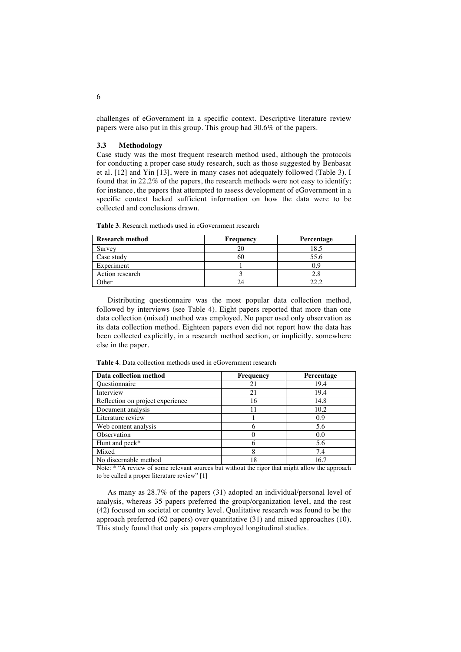challenges of eGovernment in a specific context. Descriptive literature review papers were also put in this group. This group had 30.6% of the papers.

#### **3.3 Methodology**

Case study was the most frequent research method used, although the protocols for conducting a proper case study research, such as those suggested by Benbasat et al. [12] and Yin [13], were in many cases not adequately followed (Table 3). I found that in 22.2% of the papers, the research methods were not easy to identify; for instance, the papers that attempted to assess development of eGovernment in a specific context lacked sufficient information on how the data were to be collected and conclusions drawn.

**Table 3**. Research methods used in eGovernment research

| <b>Research method</b> | Frequency | Percentage |
|------------------------|-----------|------------|
| Survey                 |           | 18.5       |
| Case study             |           | 55.6       |
| Experiment             |           |            |
| Action research        |           |            |
| )ther                  |           |            |

Distributing questionnaire was the most popular data collection method, followed by interviews (see Table 4). Eight papers reported that more than one data collection (mixed) method was employed. No paper used only observation as its data collection method. Eighteen papers even did not report how the data has been collected explicitly, in a research method section, or implicitly, somewhere else in the paper.

**Table 4**. Data collection methods used in eGovernment research

| Data collection method           | Frequency | Percentage |
|----------------------------------|-----------|------------|
| <b>Questionnaire</b>             | 21        | 19.4       |
| Interview                        | 21        | 19.4       |
| Reflection on project experience | 16        | 14.8       |
| Document analysis                |           | 10.2       |
| Literature review                |           | 0.9        |
| Web content analysis             | 6         | 5.6        |
| Observation                      |           | 0.0        |
| Hunt and peck*                   | 6         | 5.6        |
| Mixed                            | 8         | 7.4        |
| No discernable method            | 18        | 16.7       |

Note: \* "A review of some relevant sources but without the rigor that might allow the approach to be called a proper literature review" [1]

As many as 28.7% of the papers (31) adopted an individual/personal level of analysis, whereas 35 papers preferred the group/organization level, and the rest (42) focused on societal or country level. Qualitative research was found to be the approach preferred (62 papers) over quantitative (31) and mixed approaches (10). This study found that only six papers employed longitudinal studies.

6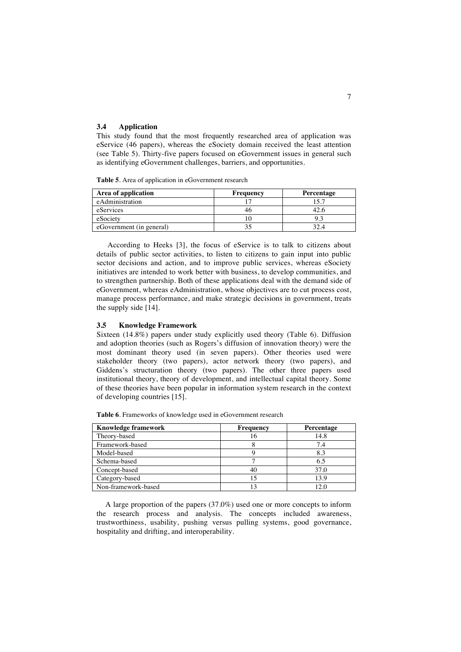#### **3.4 Application**

This study found that the most frequently researched area of application was eService (46 papers), whereas the eSociety domain received the least attention (see Table 5). Thirty-five papers focused on eGovernment issues in general such as identifying eGovernment challenges, barriers, and opportunities.

**Table 5**. Area of application in eGovernment research

| Area of application      | Frequency | Percentage |
|--------------------------|-----------|------------|
| eAdministration          |           |            |
| eServices                | 40        |            |
| eSociety                 |           |            |
| eGovernment (in general) |           |            |

According to Heeks [3], the focus of eService is to talk to citizens about details of public sector activities, to listen to citizens to gain input into public sector decisions and action, and to improve public services, whereas eSociety initiatives are intended to work better with business, to develop communities, and to strengthen partnership. Both of these applications deal with the demand side of eGovernment, whereas eAdministration, whose objectives are to cut process cost, manage process performance, and make strategic decisions in government, treats the supply side [14].

### **3.5 Knowledge Framework**

Sixteen (14.8%) papers under study explicitly used theory (Table 6). Diffusion and adoption theories (such as Rogers's diffusion of innovation theory) were the most dominant theory used (in seven papers). Other theories used were stakeholder theory (two papers), actor network theory (two papers), and Giddens's structuration theory (two papers). The other three papers used institutional theory, theory of development, and intellectual capital theory. Some of these theories have been popular in information system research in the context of developing countries [15].

**Table 6**. Frameworks of knowledge used in eGovernment research

| <b>Knowledge framework</b> | Frequency | Percentage |
|----------------------------|-----------|------------|
| Theory-based               | 16        | 14.8       |
| Framework-based            |           | 7.4        |
| Model-based                |           | 8.3        |
| Schema-based               |           | 6.5        |
| Concept-based              | 40        | 37.0       |
| Category-based             | 15        | 13.9       |
| Non-framework-based        | 13        |            |

A large proportion of the papers (37.0%) used one or more concepts to inform the research process and analysis. The concepts included awareness, trustworthiness, usability, pushing versus pulling systems, good governance, hospitality and drifting, and interoperability.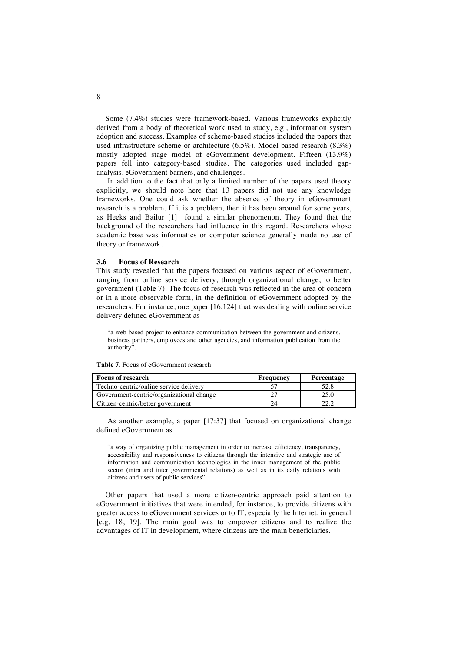Some (7.4%) studies were framework-based. Various frameworks explicitly derived from a body of theoretical work used to study, e.g., information system adoption and success. Examples of scheme-based studies included the papers that used infrastructure scheme or architecture  $(6.5\%)$ . Model-based research  $(8.3\%)$ mostly adopted stage model of eGovernment development. Fifteen (13.9%) papers fell into category-based studies. The categories used included gapanalysis, eGovernment barriers, and challenges.

In addition to the fact that only a limited number of the papers used theory explicitly, we should note here that 13 papers did not use any knowledge frameworks. One could ask whether the absence of theory in eGovernment research is a problem. If it is a problem, then it has been around for some years, as Heeks and Bailur [1] found a similar phenomenon. They found that the background of the researchers had influence in this regard. Researchers whose academic base was informatics or computer science generally made no use of theory or framework.

#### **3.6 Focus of Research**

This study revealed that the papers focused on various aspect of eGovernment, ranging from online service delivery, through organizational change, to better government (Table 7). The focus of research was reflected in the area of concern or in a more observable form, in the definition of eGovernment adopted by the researchers. For instance, one paper [16:124] that was dealing with online service delivery defined eGovernment as

"a web-based project to enhance communication between the government and citizens, business partners, employees and other agencies, and information publication from the authority".

| <b>Focus of research</b>                 | Frequency | Percentage |
|------------------------------------------|-----------|------------|
| Techno-centric/online service delivery   |           | 52.8       |
| Government-centric/organizational change |           | 25.0       |
| Citizen-centric/better government        |           |            |

**Table 7**. Focus of eGovernment research

As another example, a paper [17:37] that focused on organizational change defined eGovernment as

"a way of organizing public management in order to increase efficiency, transparency, accessibility and responsiveness to citizens through the intensive and strategic use of information and communication technologies in the inner management of the public sector (intra and inter governmental relations) as well as in its daily relations with citizens and users of public services".

Other papers that used a more citizen-centric approach paid attention to eGovernment initiatives that were intended, for instance, to provide citizens with greater access to eGovernment services or to IT, especially the Internet, in general [e.g. 18, 19]. The main goal was to empower citizens and to realize the advantages of IT in development, where citizens are the main beneficiaries.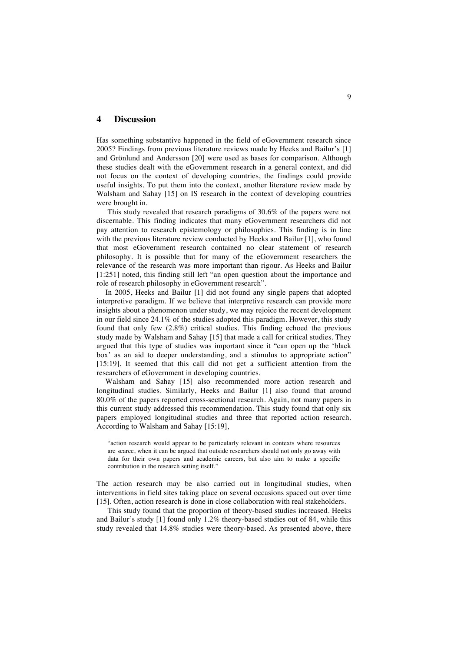#### **4 Discussion**

Has something substantive happened in the field of eGovernment research since 2005? Findings from previous literature reviews made by Heeks and Bailur's [1] and Grönlund and Andersson [20] were used as bases for comparison. Although these studies dealt with the eGovernment research in a general context, and did not focus on the context of developing countries, the findings could provide useful insights. To put them into the context, another literature review made by Walsham and Sahay [15] on IS research in the context of developing countries were brought in.

This study revealed that research paradigms of 30.6% of the papers were not discernable. This finding indicates that many eGovernment researchers did not pay attention to research epistemology or philosophies. This finding is in line with the previous literature review conducted by Heeks and Bailur [1], who found that most eGovernment research contained no clear statement of research philosophy. It is possible that for many of the eGovernment researchers the relevance of the research was more important than rigour. As Heeks and Bailur [1:251] noted, this finding still left "an open question about the importance and role of research philosophy in eGovernment research".

In 2005, Heeks and Bailur [1] did not found any single papers that adopted interpretive paradigm. If we believe that interpretive research can provide more insights about a phenomenon under study, we may rejoice the recent development in our field since 24.1% of the studies adopted this paradigm. However, this study found that only few (2.8%) critical studies. This finding echoed the previous study made by Walsham and Sahay [15] that made a call for critical studies. They argued that this type of studies was important since it "can open up the 'black box' as an aid to deeper understanding, and a stimulus to appropriate action" [15:19]. It seemed that this call did not get a sufficient attention from the researchers of eGovernment in developing countries.

Walsham and Sahay [15] also recommended more action research and longitudinal studies. Similarly, Heeks and Bailur [1] also found that around 80.0% of the papers reported cross-sectional research. Again, not many papers in this current study addressed this recommendation. This study found that only six papers employed longitudinal studies and three that reported action research. According to Walsham and Sahay [15:19],

"action research would appear to be particularly relevant in contexts where resources are scarce, when it can be argued that outside researchers should not only go away with data for their own papers and academic careers, but also aim to make a specific contribution in the research setting itself."

The action research may be also carried out in longitudinal studies, when interventions in field sites taking place on several occasions spaced out over time [15]. Often, action research is done in close collaboration with real stakeholders.

This study found that the proportion of theory-based studies increased. Heeks and Bailur's study [1] found only 1.2% theory-based studies out of 84, while this study revealed that 14.8% studies were theory-based. As presented above, there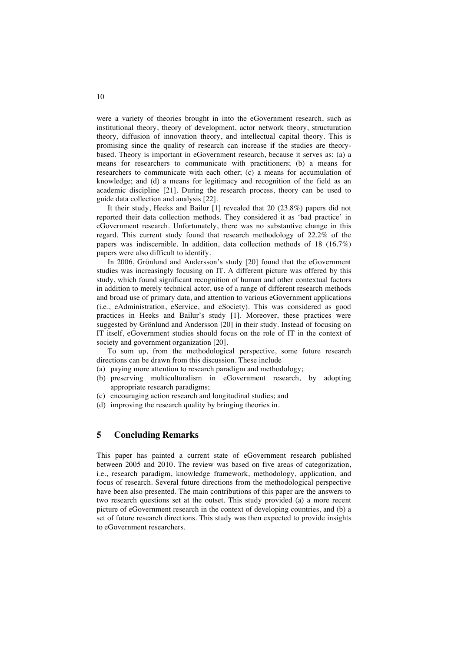were a variety of theories brought in into the eGovernment research, such as institutional theory, theory of development, actor network theory, structuration theory, diffusion of innovation theory, and intellectual capital theory. This is promising since the quality of research can increase if the studies are theorybased. Theory is important in eGovernment research, because it serves as: (a) a means for researchers to communicate with practitioners; (b) a means for researchers to communicate with each other; (c) a means for accumulation of knowledge; and (d) a means for legitimacy and recognition of the field as an academic discipline [21]. During the research process, theory can be used to guide data collection and analysis [22].

It their study, Heeks and Bailur [1] revealed that 20 (23.8%) papers did not reported their data collection methods. They considered it as 'bad practice' in eGovernment research. Unfortunately, there was no substantive change in this regard. This current study found that research methodology of 22.2% of the papers was indiscernible. In addition, data collection methods of 18 (16.7%) papers were also difficult to identify.

In 2006, Grönlund and Andersson's study [20] found that the eGovernment studies was increasingly focusing on IT. A different picture was offered by this study, which found significant recognition of human and other contextual factors in addition to merely technical actor, use of a range of different research methods and broad use of primary data, and attention to various eGovernment applications (i.e., eAdministration, eService, and eSociety). This was considered as good practices in Heeks and Bailur's study [1]. Moreover, these practices were suggested by Grönlund and Andersson [20] in their study. Instead of focusing on IT itself, eGovernment studies should focus on the role of IT in the context of society and government organization [20].

To sum up, from the methodological perspective, some future research directions can be drawn from this discussion. These include

- (a) paying more attention to research paradigm and methodology;
- (b) preserving multiculturalism in eGovernment research, by adopting appropriate research paradigms;
- (c) encouraging action research and longitudinal studies; and
- (d) improving the research quality by bringing theories in.

# **5 Concluding Remarks**

This paper has painted a current state of eGovernment research published between 2005 and 2010. The review was based on five areas of categorization, i.e., research paradigm, knowledge framework, methodology, application, and focus of research. Several future directions from the methodological perspective have been also presented. The main contributions of this paper are the answers to two research questions set at the outset. This study provided (a) a more recent picture of eGovernment research in the context of developing countries, and (b) a set of future research directions. This study was then expected to provide insights to eGovernment researchers.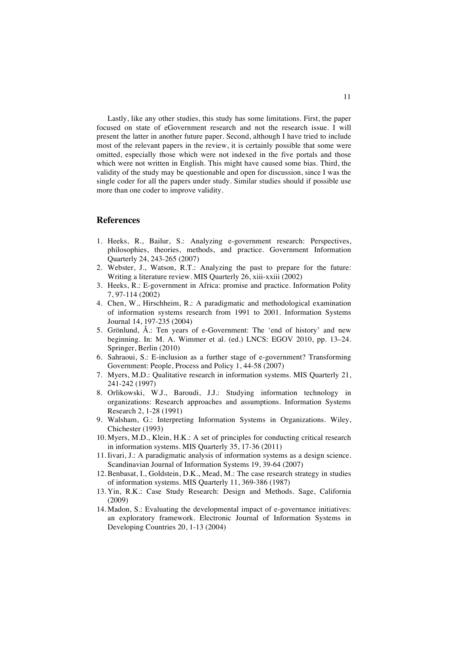Lastly, like any other studies, this study has some limitations. First, the paper focused on state of eGovernment research and not the research issue. I will present the latter in another future paper. Second, although I have tried to include most of the relevant papers in the review, it is certainly possible that some were omitted, especially those which were not indexed in the five portals and those which were not written in English. This might have caused some bias. Third, the validity of the study may be questionable and open for discussion, since I was the single coder for all the papers under study. Similar studies should if possible use more than one coder to improve validity.

## **References**

- 1. Heeks, R., Bailur, S.: Analyzing e-government research: Perspectives, philosophies, theories, methods, and practice. Government Information Quarterly 24, 243-265 (2007)
- 2. Webster, J., Watson, R.T.: Analyzing the past to prepare for the future: Writing a literature review. MIS Quarterly 26, xiii-xxiii (2002)
- 3. Heeks, R.: E-government in Africa: promise and practice. Information Polity 7, 97-114 (2002)
- 4. Chen, W., Hirschheim, R.: A paradigmatic and methodological examination of information systems research from 1991 to 2001. Information Systems Journal 14, 197-235 (2004)
- 5. Grönlund, Å.: Ten years of e-Government: The 'end of history' and new beginning. In: M. A. Wimmer et al. (ed.) LNCS: EGOV 2010, pp. 13–24. Springer, Berlin (2010)
- 6. Sahraoui, S.: E-inclusion as a further stage of e-government? Transforming Government: People, Process and Policy 1, 44-58 (2007)
- 7. Myers, M.D.: Qualitative research in information systems. MIS Quarterly 21, 241-242 (1997)
- 8. Orlikowski, W.J., Baroudi, J.J.: Studying information technology in organizations: Research approaches and assumptions. Information Systems Research 2, 1-28 (1991)
- 9. Walsham, G.: Interpreting Information Systems in Organizations. Wiley, Chichester (1993)
- 10. Myers, M.D., Klein, H.K.: A set of principles for conducting critical research in information systems. MIS Quarterly 35, 17-36 (2011)
- 11. Iivari, J.: A paradigmatic analysis of information systems as a design science. Scandinavian Journal of Information Systems 19, 39-64 (2007)
- 12. Benbasat, I., Goldstein, D.K., Mead, M.: The case research strategy in studies of information systems. MIS Quarterly 11, 369-386 (1987)
- 13. Yin, R.K.: Case Study Research: Design and Methods. Sage, California (2009)
- 14. Madon, S.: Evaluating the developmental impact of e-governance initiatives: an exploratory framework. Electronic Journal of Information Systems in Developing Countries 20, 1-13 (2004)